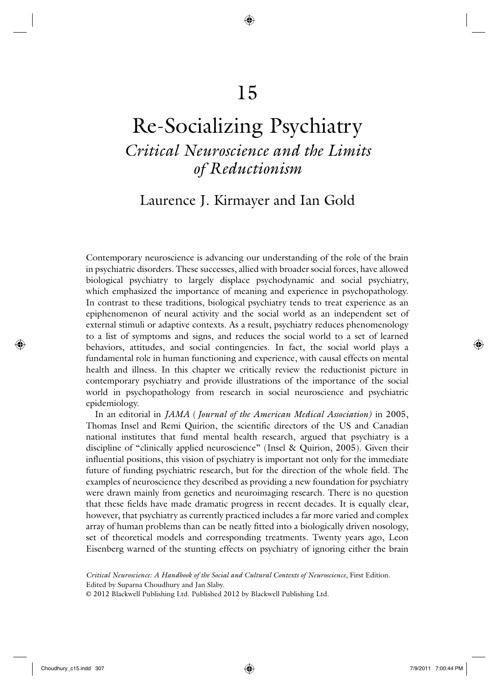# Re-Socializing Psychiatry *Critical Neuroscience and the Limits of Reductionism*

# Laurence J. Kirmayer and Ian Gold

Contemporary neuroscience is advancing our understanding of the role of the brain in psychiatric disorders. These successes, allied with broader social forces, have allowed biological psychiatry to largely displace psychodynamic and social psychiatry, which emphasized the importance of meaning and experience in psychopathology. In contrast to these traditions, biological psychiatry tends to treat experience as an epiphenomenon of neural activity and the social world as an independent set of external stimuli or adaptive contexts. As a result, psychiatry reduces phenomenology to a list of symptoms and signs, and reduces the social world to a set of learned behaviors, attitudes, and social contingencies. In fact, the social world plays a fundamental role in human functioning and experience, with causal effects on mental health and illness. In this chapter we critically review the reductionist picture in contemporary psychiatry and provide illustrations of the importance of the social world in psychopathology from research in social neuroscience and psychiatric epidemiology.

In an editorial in *JAMA* ( *Journal of the American Medical Association)* in 2005, Thomas Insel and Remi Quirion, the scientific directors of the US and Canadian national institutes that fund mental health research, argued that psychiatry is a discipline of "clinically applied neuroscience" (Insel & Quirion, 2005). Given their influential positions, this vision of psychiatry is important not only for the immediate future of funding psychiatric research, but for the direction of the whole field. The examples of neuroscience they described as providing a new foundation for psychiatry were drawn mainly from genetics and neuroimaging research. There is no question that these fields have made dramatic progress in recent decades. It is equally clear, however, that psychiatry as currently practiced includes a far more varied and complex array of human problems than can be neatly fitted into a biologically driven nosology, set of theoretical models and corresponding treatments. Twenty years ago, Leon Eisenberg warned of the stunting effects on psychiatry of ignoring either the brain

*Critical Neuroscience: A Handbook of the Social and Cultural Contexts of Neuroscience*, First Edition. Edited by Suparna Choudhury and Jan Slaby.

© 2012 Blackwell Publishing Ltd. Published 2012 by Blackwell Publishing Ltd.

⊕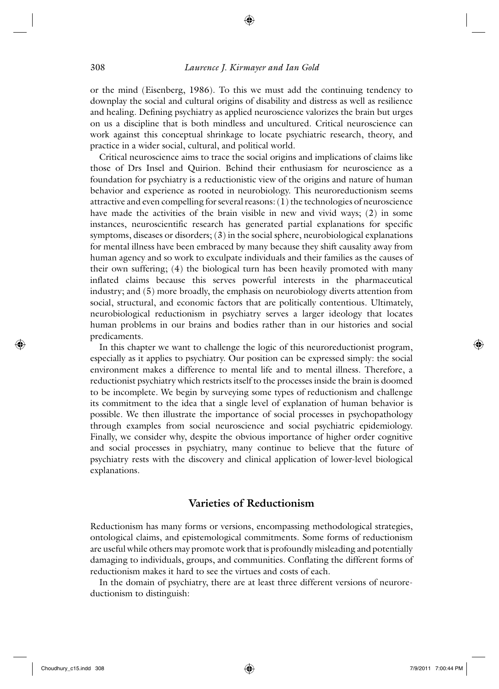or the mind (Eisenberg, 1986). To this we must add the continuing tendency to downplay the social and cultural origins of disability and distress as well as resilience and healing. Defining psychiatry as applied neuroscience valorizes the brain but urges on us a discipline that is both mindless and uncultured. Critical neuroscience can work against this conceptual shrinkage to locate psychiatric research, theory, and practice in a wider social, cultural, and political world.

Critical neuroscience aims to trace the social origins and implications of claims like those of Drs Insel and Quirion. Behind their enthusiasm for neuroscience as a foundation for psychiatry is a reductionistic view of the origins and nature of human behavior and experience as rooted in neurobiology. This neuroreductionism seems attractive and even compelling for several reasons: (1) the technologies of neuroscience have made the activities of the brain visible in new and vivid ways; (2) in some instances, neuroscientific research has generated partial explanations for specific symptoms, diseases or disorders; (3) in the social sphere, neurobiological explanations for mental illness have been embraced by many because they shift causality away from human agency and so work to exculpate individuals and their families as the causes of their own suffering; (4) the biological turn has been heavily promoted with many inflated claims because this serves powerful interests in the pharmaceutical industry; and (5) more broadly, the emphasis on neurobiology diverts attention from social, structural, and economic factors that are politically contentious. Ultimately, neurobiological reductionism in psychiatry serves a larger ideology that locates human problems in our brains and bodies rather than in our histories and social predicaments.

In this chapter we want to challenge the logic of this neuroreductionist program, especially as it applies to psychiatry. Our position can be expressed simply: the social environment makes a difference to mental life and to mental illness. Therefore, a reductionist psychiatry which restricts itself to the processes inside the brain is doomed to be incomplete. We begin by surveying some types of reductionism and challenge its commitment to the idea that a single level of explanation of human behavior is possible. We then illustrate the importance of social processes in psychopathology through examples from social neuroscience and social psychiatric epidemiology. Finally, we consider why, despite the obvious importance of higher order cognitive and social processes in psychiatry, many continue to believe that the future of psychiatry rests with the discovery and clinical application of lower-level biological explanations.

# **Varieties of Reductionism**

Reductionism has many forms or versions, encompassing methodological strategies, ontological claims, and epistemological commitments. Some forms of reductionism are useful while others may promote work that is profoundly misleading and potentially damaging to individuals, groups, and communities. Conflating the different forms of reductionism makes it hard to see the virtues and costs of each.

In the domain of psychiatry, there are at least three different versions of neuroreductionism to distinguish:

⊕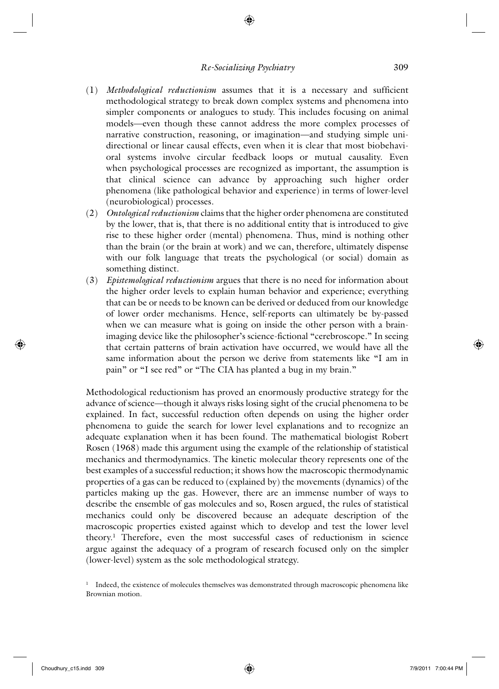⊕

- (1) *Methodological reductionism* assumes that it is a necessary and sufficient methodological strategy to break down complex systems and phenomena into simpler components or analogues to study. This includes focusing on animal models—even though these cannot address the more complex processes of narrative construction, reasoning, or imagination—and studying simple unidirectional or linear causal effects, even when it is clear that most biobehavioral systems involve circular feedback loops or mutual causality. Even when psychological processes are recognized as important, the assumption is that clinical science can advance by approaching such higher order phenomena (like pathological behavior and experience) in terms of lower-level (neurobiological) processes.
- (2) *Ontological reductionism* claims that the higher order phenomena are constituted by the lower, that is, that there is no additional entity that is introduced to give rise to these higher order (mental) phenomena. Thus, mind is nothing other than the brain (or the brain at work) and we can, therefore, ultimately dispense with our folk language that treats the psychological (or social) domain as something distinct.
- (3) *Epistemological reductionism* argues that there is no need for information about the higher order levels to explain human behavior and experience; everything that can be or needs to be known can be derived or deduced from our knowledge of lower order mechanisms. Hence, self-reports can ultimately be by-passed when we can measure what is going on inside the other person with a brainimaging device like the philosopher's science-fictional "cerebroscope." In seeing that certain patterns of brain activation have occurred, we would have all the same information about the person we derive from statements like "I am in pain" or "I see red" or "The CIA has planted a bug in my brain."

Methodological reductionism has proved an enormously productive strategy for the advance of science—though it always risks losing sight of the crucial phenomena to be explained. In fact, successful reduction often depends on using the higher order phenomena to guide the search for lower level explanations and to recognize an adequate explanation when it has been found. The mathematical biologist Robert Rosen (1968) made this argument using the example of the relationship of statistical mechanics and thermodynamics. The kinetic molecular theory represents one of the best examples of a successful reduction; it shows how the macroscopic thermodynamic properties of a gas can be reduced to (explained by) the movements (dynamics) of the particles making up the gas. However, there are an immense number of ways to describe the ensemble of gas molecules and so, Rosen argued, the rules of statistical mechanics could only be discovered because an adequate description of the macroscopic properties existed against which to develop and test the lower level theory.1 Therefore, even the most successful cases of reductionism in science argue against the adequacy of a program of research focused only on the simpler (lower-level) system as the sole methodological strategy.

<sup>1</sup> Indeed, the existence of molecules themselves was demonstrated through macroscopic phenomena like Brownian motion.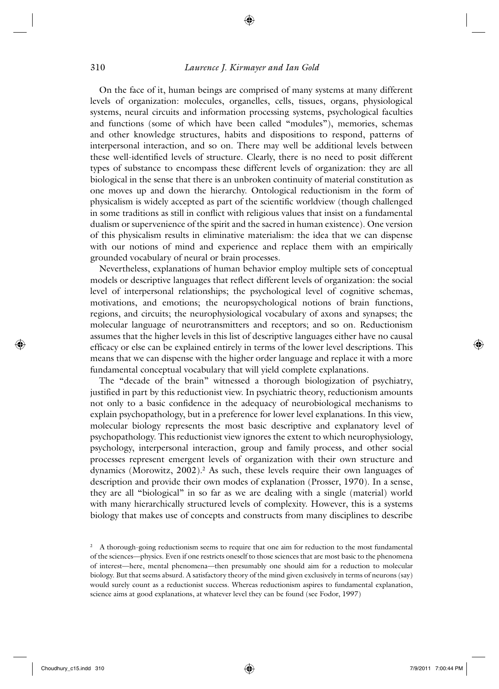♠

On the face of it, human beings are comprised of many systems at many different levels of organization: molecules, organelles, cells, tissues, organs, physiological systems, neural circuits and information processing systems, psychological faculties and functions (some of which have been called "modules"), memories, schemas and other knowledge structures, habits and dispositions to respond, patterns of interpersonal interaction, and so on. There may well be additional levels between these well-identified levels of structure. Clearly, there is no need to posit different types of substance to encompass these different levels of organization: they are all biological in the sense that there is an unbroken continuity of material constitution as one moves up and down the hierarchy. Ontological reductionism in the form of physicalism is widely accepted as part of the scientific worldview (though challenged in some traditions as still in conflict with religious values that insist on a fundamental dualism or supervenience of the spirit and the sacred in human existence). One version of this physicalism results in eliminative materialism: the idea that we can dispense with our notions of mind and experience and replace them with an empirically grounded vocabulary of neural or brain processes.

Nevertheless, explanations of human behavior employ multiple sets of conceptual models or descriptive languages that reflect different levels of organization: the social level of interpersonal relationships; the psychological level of cognitive schemas, motivations, and emotions; the neuropsychological notions of brain functions, regions, and circuits; the neurophysiological vocabulary of axons and synapses; the molecular language of neurotransmitters and receptors; and so on. Reductionism assumes that the higher levels in this list of descriptive languages either have no causal efficacy or else can be explained entirely in terms of the lower level descriptions. This means that we can dispense with the higher order language and replace it with a more fundamental conceptual vocabulary that will yield complete explanations.

The "decade of the brain" witnessed a thorough biologization of psychiatry, justified in part by this reductionist view. In psychiatric theory, reductionism amounts not only to a basic confidence in the adequacy of neurobiological mechanisms to explain psychopathology, but in a preference for lower level explanations. In this view, molecular biology represents the most basic descriptive and explanatory level of psychopathology. This reductionist view ignores the extent to which neurophysiology, psychology, interpersonal interaction, group and family process, and other social processes represent emergent levels of organization with their own structure and dynamics (Morowitz, 2002).<sup>2</sup> As such, these levels require their own languages of description and provide their own modes of explanation (Prosser, 1970). In a sense, they are all "biological" in so far as we are dealing with a single (material) world with many hierarchically structured levels of complexity. However, this is a systems biology that makes use of concepts and constructs from many disciplines to describe

<sup>&</sup>lt;sup>2</sup> A thorough-going reductionism seems to require that one aim for reduction to the most fundamental of the sciences—physics. Even if one restricts oneself to those sciences that are most basic to the phenomena of interest—here, mental phenomena—then presumably one should aim for a reduction to molecular biology. But that seems absurd. A satisfactory theory of the mind given exclusively in terms of neurons (say) would surely count as a reductionist success. Whereas reductionism aspires to fundamental explanation, science aims at good explanations, at whatever level they can be found (see Fodor, 1997)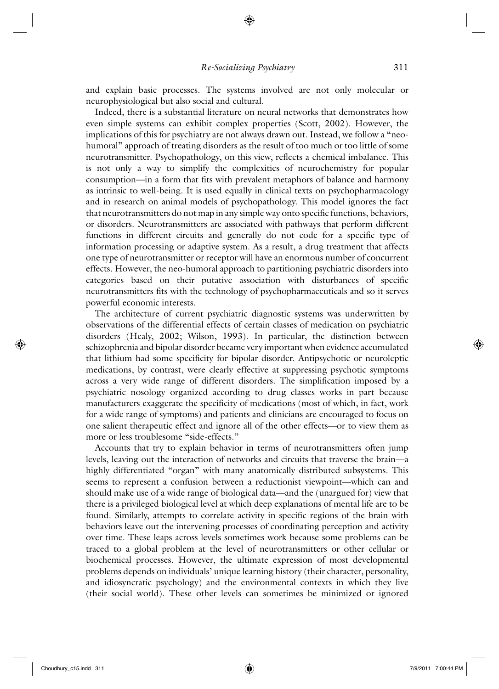and explain basic processes. The systems involved are not only molecular or neurophysiological but also social and cultural.

Indeed, there is a substantial literature on neural networks that demonstrates how even simple systems can exhibit complex properties (Scott, 2002). However, the implications of this for psychiatry are not always drawn out. Instead, we follow a "neohumoral" approach of treating disorders as the result of too much or too little of some neurotransmitter. Psychopathology, on this view, reflects a chemical imbalance. This is not only a way to simplify the complexities of neurochemistry for popular consumption—in a form that fits with prevalent metaphors of balance and harmony as intrinsic to well-being. It is used equally in clinical texts on psychopharmacology and in research on animal models of psychopathology. This model ignores the fact that neurotransmitters do not map in any simple way onto specific functions, behaviors, or disorders. Neurotransmitters are associated with pathways that perform different functions in different circuits and generally do not code for a specific type of information processing or adaptive system. As a result, a drug treatment that affects one type of neurotransmitter or receptor will have an enormous number of concurrent effects. However, the neo-humoral approach to partitioning psychiatric disorders into categories based on their putative association with disturbances of specific neurotransmitters fits with the technology of psychopharmaceuticals and so it serves powerful economic interests.

The architecture of current psychiatric diagnostic systems was underwritten by observations of the differential effects of certain classes of medication on psychiatric disorders (Healy, 2002; Wilson, 1993). In particular, the distinction between schizophrenia and bipolar disorder became very important when evidence accumulated that lithium had some specificity for bipolar disorder. Antipsychotic or neuroleptic medications, by contrast, were clearly effective at suppressing psychotic symptoms across a very wide range of different disorders. The simplification imposed by a psychiatric nosology organized according to drug classes works in part because manufacturers exaggerate the specificity of medications (most of which, in fact, work for a wide range of symptoms) and patients and clinicians are encouraged to focus on one salient therapeutic effect and ignore all of the other effects—or to view them as more or less troublesome "side-effects."

Accounts that try to explain behavior in terms of neurotransmitters often jump levels, leaving out the interaction of networks and circuits that traverse the brain—a highly differentiated "organ" with many anatomically distributed subsystems. This seems to represent a confusion between a reductionist viewpoint—which can and should make use of a wide range of biological data—and the (unargued for) view that there is a privileged biological level at which deep explanations of mental life are to be found. Similarly, attempts to correlate activity in specific regions of the brain with behaviors leave out the intervening processes of coordinating perception and activity over time. These leaps across levels sometimes work because some problems can be traced to a global problem at the level of neurotransmitters or other cellular or biochemical processes. However, the ultimate expression of most developmental problems depends on individuals' unique learning history (their character, personality, and idiosyncratic psychology) and the environmental contexts in which they live (their social world). These other levels can sometimes be minimized or ignored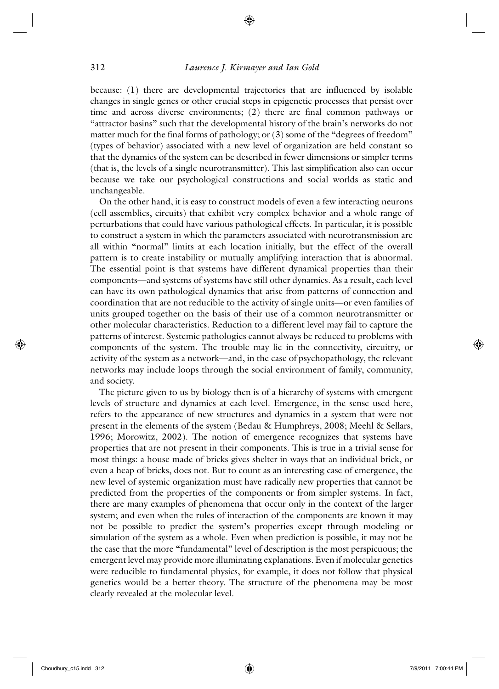◈

because: (1) there are developmental trajectories that are influenced by isolable changes in single genes or other crucial steps in epigenetic processes that persist over time and across diverse environments; (2) there are final common pathways or "attractor basins" such that the developmental history of the brain's networks do not matter much for the final forms of pathology; or  $(3)$  some of the "degrees of freedom" (types of behavior) associated with a new level of organization are held constant so that the dynamics of the system can be described in fewer dimensions or simpler terms (that is, the levels of a single neurotransmitter). This last simplification also can occur because we take our psychological constructions and social worlds as static and unchangeable.

On the other hand, it is easy to construct models of even a few interacting neurons (cell assemblies, circuits) that exhibit very complex behavior and a whole range of perturbations that could have various pathological effects. In particular, it is possible to construct a system in which the parameters associated with neurotransmission are all within "normal" limits at each location initially, but the effect of the overall pattern is to create instability or mutually amplifying interaction that is abnormal. The essential point is that systems have different dynamical properties than their components—and systems of systems have still other dynamics. As a result, each level can have its own pathological dynamics that arise from patterns of connection and coordination that are not reducible to the activity of single units—or even families of units grouped together on the basis of their use of a common neurotransmitter or other molecular characteristics. Reduction to a different level may fail to capture the patterns of interest. Systemic pathologies cannot always be reduced to problems with components of the system. The trouble may lie in the connectivity, circuitry, or activity of the system as a network—and, in the case of psychopathology, the relevant networks may include loops through the social environment of family, community, and society.

The picture given to us by biology then is of a hierarchy of systems with emergent levels of structure and dynamics at each level. Emergence, in the sense used here, refers to the appearance of new structures and dynamics in a system that were not present in the elements of the system (Bedau & Humphreys, 2008; Meehl & Sellars, 1996; Morowitz, 2002). The notion of emergence recognizes that systems have properties that are not present in their components. This is true in a trivial sense for most things: a house made of bricks gives shelter in ways that an individual brick, or even a heap of bricks, does not. But to count as an interesting case of emergence, the new level of systemic organization must have radically new properties that cannot be predicted from the properties of the components or from simpler systems. In fact, there are many examples of phenomena that occur only in the context of the larger system; and even when the rules of interaction of the components are known it may not be possible to predict the system's properties except through modeling or simulation of the system as a whole. Even when prediction is possible, it may not be the case that the more "fundamental" level of description is the most perspicuous; the emergent level may provide more illuminating explanations. Even if molecular genetics were reducible to fundamental physics, for example, it does not follow that physical genetics would be a better theory. The structure of the phenomena may be most clearly revealed at the molecular level.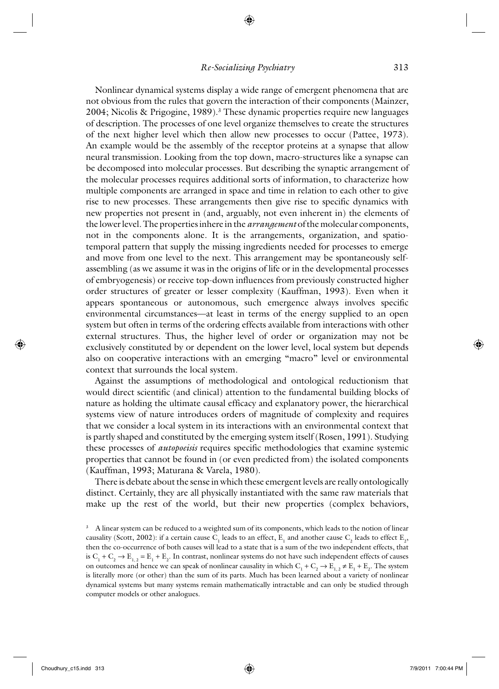♠

Nonlinear dynamical systems display a wide range of emergent phenomena that are not obvious from the rules that govern the interaction of their components (Mainzer, 2004; Nicolis & Prigogine, 1989).<sup>3</sup> These dynamic properties require new languages of description. The processes of one level organize themselves to create the structures of the next higher level which then allow new processes to occur (Pattee, 1973). An example would be the assembly of the receptor proteins at a synapse that allow neural transmission. Looking from the top down, macro-structures like a synapse can be decomposed into molecular processes. But describing the synaptic arrangement of the molecular processes requires additional sorts of information, to characterize how multiple components are arranged in space and time in relation to each other to give rise to new processes. These arrangements then give rise to specific dynamics with new properties not present in (and, arguably, not even inherent in) the elements of the lower level. The properties inhere in the *arrangement* of the molecular components, not in the components alone. It is the arrangements, organization, and spatiotemporal pattern that supply the missing ingredients needed for processes to emerge and move from one level to the next. This arrangement may be spontaneously selfassembling (as we assume it was in the origins of life or in the developmental processes of embryogenesis) or receive top-down influences from previously constructed higher order structures of greater or lesser complexity (Kauffman, 1993). Even when it appears spontaneous or autonomous, such emergence always involves specific environmental circumstances—at least in terms of the energy supplied to an open

system but often in terms of the ordering effects available from interactions with other external structures. Thus, the higher level of order or organization may not be exclusively constituted by or dependent on the lower level, local system but depends also on cooperative interactions with an emerging "macro" level or environmental context that surrounds the local system.

Against the assumptions of methodological and ontological reductionism that would direct scientific (and clinical) attention to the fundamental building blocks of nature as holding the ultimate causal efficacy and explanatory power, the hierarchical systems view of nature introduces orders of magnitude of complexity and requires that we consider a local system in its interactions with an environmental context that is partly shaped and constituted by the emerging system itself (Rosen, 1991). Studying these processes of *autopoeisis* requires specific methodologies that examine systemic properties that cannot be found in (or even predicted from) the isolated components (Kauffman, 1993; Maturana & Varela, 1980).

There is debate about the sense in which these emergent levels are really ontologically distinct. Certainly, they are all physically instantiated with the same raw materials that make up the rest of the world, but their new properties (complex behaviors,

<sup>&</sup>lt;sup>3</sup> A linear system can be reduced to a weighted sum of its components, which leads to the notion of linear causality (Scott, 2002): if a certain cause C<sub>1</sub> leads to an effect,  $E_1$  and another cause C<sub>2</sub> leads to effect  $E_2$ , then the co-occurrence of both causes will lead to a state that is a sum of the two independent effects, that is  $C_1 + C_2 \rightarrow E_{1,2} = E_1 + E_2$ . In contrast, nonlinear systems do not have such independent effects of causes on outcomes and hence we can speak of nonlinear causality in which  $C_1 + C_2 \rightarrow E_{1,2} \neq E_1 + E_2$ . The system is literally more (or other) than the sum of its parts. Much has been learned about a variety of nonlinear dynamical systems but many systems remain mathematically intractable and can only be studied through computer models or other analogues.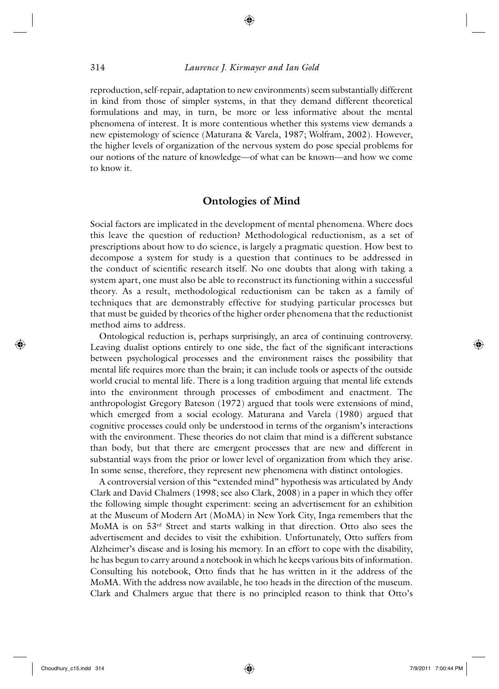# 314 *Laurence J. Kirmayer and Ian Gold*

⊕

reproduction, self-repair, adaptation to new environments) seem substantially different in kind from those of simpler systems, in that they demand different theoretical formulations and may, in turn, be more or less informative about the mental phenomena of interest. It is more contentious whether this systems view demands a new epistemology of science (Maturana & Varela, 1987; Wolfram, 2002). However, the higher levels of organization of the nervous system do pose special problems for our notions of the nature of knowledge—of what can be known—and how we come to know it.

# **Ontologies of Mind**

Social factors are implicated in the development of mental phenomena. Where does this leave the question of reduction? Methodological reductionism, as a set of prescriptions about how to do science, is largely a pragmatic question. How best to decompose a system for study is a question that continues to be addressed in the conduct of scientific research itself. No one doubts that along with taking a system apart, one must also be able to reconstruct its functioning within a successful theory. As a result, methodological reductionism can be taken as a family of techniques that are demonstrably effective for studying particular processes but that must be guided by theories of the higher order phenomena that the reductionist method aims to address.

Ontological reduction is, perhaps surprisingly, an area of continuing controversy. Leaving dualist options entirely to one side, the fact of the significant interactions between psychological processes and the environment raises the possibility that mental life requires more than the brain; it can include tools or aspects of the outside world crucial to mental life. There is a long tradition arguing that mental life extends into the environment through processes of embodiment and enactment. The anthropologist Gregory Bateson (1972) argued that tools were extensions of mind, which emerged from a social ecology. Maturana and Varela (1980) argued that cognitive processes could only be understood in terms of the organism's interactions with the environment. These theories do not claim that mind is a different substance than body, but that there are emergent processes that are new and different in substantial ways from the prior or lower level of organization from which they arise. In some sense, therefore, they represent new phenomena with distinct ontologies.

A controversial version of this "extended mind" hypothesis was articulated by Andy Clark and David Chalmers (1998; see also Clark, 2008) in a paper in which they offer the following simple thought experiment: seeing an advertisement for an exhibition at the Museum of Modern Art (MoMA) in New York City, Inga remembers that the MoMA is on  $53<sup>rd</sup>$  Street and starts walking in that direction. Otto also sees the advertisement and decides to visit the exhibition. Unfortunately, Otto suffers from Alzheimer's disease and is losing his memory. In an effort to cope with the disability, he has begun to carry around a notebook in which he keeps various bits of information. Consulting his notebook, Otto finds that he has written in it the address of the MoMA. With the address now available, he too heads in the direction of the museum. Clark and Chalmers argue that there is no principled reason to think that Otto's

⊕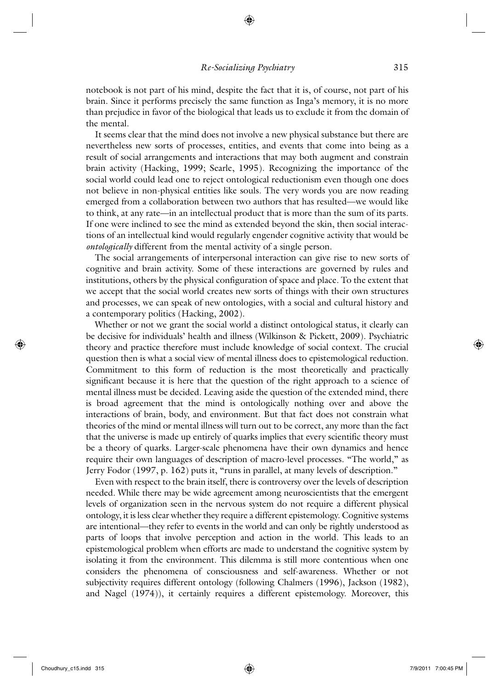notebook is not part of his mind, despite the fact that it is, of course, not part of his brain. Since it performs precisely the same function as Inga's memory, it is no more than prejudice in favor of the biological that leads us to exclude it from the domain of the mental.

It seems clear that the mind does not involve a new physical substance but there are nevertheless new sorts of processes, entities, and events that come into being as a result of social arrangements and interactions that may both augment and constrain brain activity (Hacking, 1999; Searle, 1995). Recognizing the importance of the social world could lead one to reject ontological reductionism even though one does not believe in non-physical entities like souls. The very words you are now reading emerged from a collaboration between two authors that has resulted—we would like to think, at any rate—in an intellectual product that is more than the sum of its parts. If one were inclined to see the mind as extended beyond the skin, then social interactions of an intellectual kind would regularly engender cognitive activity that would be *ontologically* different from the mental activity of a single person.

The social arrangements of interpersonal interaction can give rise to new sorts of cognitive and brain activity. Some of these interactions are governed by rules and institutions, others by the physical configuration of space and place. To the extent that we accept that the social world creates new sorts of things with their own structures and processes, we can speak of new ontologies, with a social and cultural history and a contemporary politics (Hacking, 2002).

Whether or not we grant the social world a distinct ontological status, it clearly can be decisive for individuals' health and illness (Wilkinson & Pickett, 2009). Psychiatric theory and practice therefore must include knowledge of social context. The crucial question then is what a social view of mental illness does to epistemological reduction. Commitment to this form of reduction is the most theoretically and practically significant because it is here that the question of the right approach to a science of mental illness must be decided. Leaving aside the question of the extended mind, there is broad agreement that the mind is ontologically nothing over and above the interactions of brain, body, and environment. But that fact does not constrain what theories of the mind or mental illness will turn out to be correct, any more than the fact that the universe is made up entirely of quarks implies that every scientific theory must be a theory of quarks. Larger-scale phenomena have their own dynamics and hence require their own languages of description of macro-level processes. "The world," as Jerry Fodor (1997, p. 162) puts it, "runs in parallel, at many levels of description."

Even with respect to the brain itself, there is controversy over the levels of description needed. While there may be wide agreement among neuroscientists that the emergent levels of organization seen in the nervous system do not require a different physical ontology, it is less clear whether they require a different epistemology. Cognitive systems are intentional—they refer to events in the world and can only be rightly understood as parts of loops that involve perception and action in the world. This leads to an epistemological problem when efforts are made to understand the cognitive system by isolating it from the environment. This dilemma is still more contentious when one considers the phenomena of consciousness and self-awareness. Whether or not subjectivity requires different ontology (following Chalmers (1996), Jackson (1982), and Nagel (1974)), it certainly requires a different epistemology. Moreover, this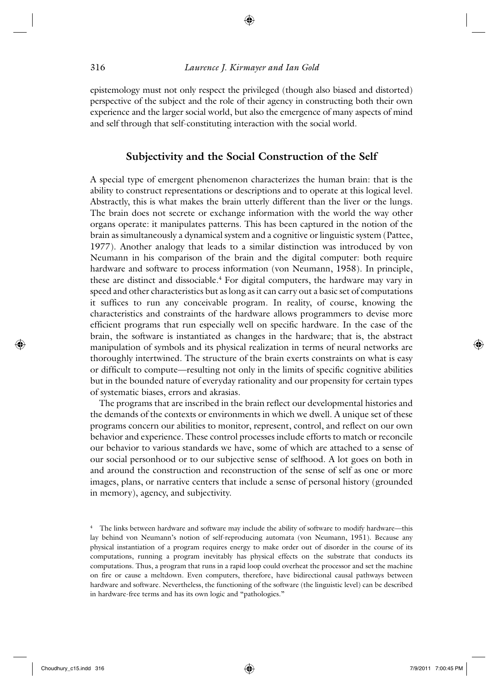# 316 *Laurence J. Kirmayer and Ian Gold*

♠

epistemology must not only respect the privileged (though also biased and distorted) perspective of the subject and the role of their agency in constructing both their own experience and the larger social world, but also the emergence of many aspects of mind and self through that self-constituting interaction with the social world.

# **Subjectivity and the Social Construction of the Self**

A special type of emergent phenomenon characterizes the human brain: that is the ability to construct representations or descriptions and to operate at this logical level. Abstractly, this is what makes the brain utterly different than the liver or the lungs. The brain does not secrete or exchange information with the world the way other organs operate: it manipulates patterns. This has been captured in the notion of the brain as simultaneously a dynamical system and a cognitive or linguistic system (Pattee, 1977). Another analogy that leads to a similar distinction was introduced by von Neumann in his comparison of the brain and the digital computer: both require hardware and software to process information (von Neumann, 1958). In principle, these are distinct and dissociable.<sup>4</sup> For digital computers, the hardware may vary in speed and other characteristics but as long as it can carry out a basic set of computations it suffices to run any conceivable program. In reality, of course, knowing the characteristics and constraints of the hardware allows programmers to devise more efficient programs that run especially well on specific hardware. In the case of the brain, the software is instantiated as changes in the hardware; that is, the abstract manipulation of symbols and its physical realization in terms of neural networks are thoroughly intertwined. The structure of the brain exerts constraints on what is easy or difficult to compute—resulting not only in the limits of specific cognitive abilities but in the bounded nature of everyday rationality and our propensity for certain types of systematic biases, errors and akrasias.

The programs that are inscribed in the brain reflect our developmental histories and the demands of the contexts or environments in which we dwell. A unique set of these programs concern our abilities to monitor, represent, control, and reflect on our own behavior and experience. These control processes include efforts to match or reconcile our behavior to various standards we have, some of which are attached to a sense of our social personhood or to our subjective sense of selfhood. A lot goes on both in and around the construction and reconstruction of the sense of self as one or more images, plans, or narrative centers that include a sense of personal history (grounded in memory), agency, and subjectivity.

<sup>4</sup> The links between hardware and software may include the ability of software to modify hardware—this lay behind von Neumann's notion of self-reproducing automata (von Neumann, 1951). Because any physical instantiation of a program requires energy to make order out of disorder in the course of its computations, running a program inevitably has physical effects on the substrate that conducts its computations. Thus, a program that runs in a rapid loop could overheat the processor and set the machine on fire or cause a meltdown. Even computers, therefore, have bidirectional causal pathways between hardware and software. Nevertheless, the functioning of the software (the linguistic level) can be described in hardware-free terms and has its own logic and "pathologies."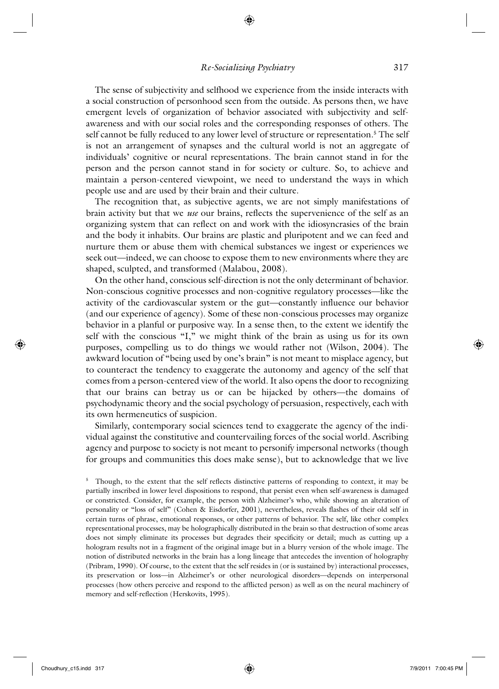♠

The sense of subjectivity and selfhood we experience from the inside interacts with a social construction of personhood seen from the outside. As persons then, we have emergent levels of organization of behavior associated with subjectivity and selfawareness and with our social roles and the corresponding responses of others. The self cannot be fully reduced to any lower level of structure or representation.<sup>5</sup> The self is not an arrangement of synapses and the cultural world is not an aggregate of individuals' cognitive or neural representations. The brain cannot stand in for the person and the person cannot stand in for society or culture. So, to achieve and maintain a person-centered viewpoint, we need to understand the ways in which people use and are used by their brain and their culture.

The recognition that, as subjective agents, we are not simply manifestations of brain activity but that we *use* our brains, reflects the supervenience of the self as an organizing system that can reflect on and work with the idiosyncrasies of the brain and the body it inhabits. Our brains are plastic and pluripotent and we can feed and nurture them or abuse them with chemical substances we ingest or experiences we seek out—indeed, we can choose to expose them to new environments where they are shaped, sculpted, and transformed (Malabou, 2008).

On the other hand, conscious self-direction is not the only determinant of behavior. Non-conscious cognitive processes and non-cognitive regulatory processes—like the activity of the cardiovascular system or the gut—constantly influence our behavior (and our experience of agency). Some of these non-conscious processes may organize behavior in a planful or purposive way. In a sense then, to the extent we identify the self with the conscious "I," we might think of the brain as using us for its own purposes, compelling us to do things we would rather not (Wilson, 2004). The awkward locution of "being used by one's brain" is not meant to misplace agency, but to counteract the tendency to exaggerate the autonomy and agency of the self that comes from a person-centered view of the world. It also opens the door to recognizing that our brains can betray us or can be hijacked by others—the domains of psychodynamic theory and the social psychology of persuasion, respectively, each with its own hermeneutics of suspicion.

Similarly, contemporary social sciences tend to exaggerate the agency of the individual against the constitutive and countervailing forces of the social world. Ascribing agency and purpose to society is not meant to personify impersonal networks (though for groups and communities this does make sense), but to acknowledge that we live

<sup>&</sup>lt;sup>5</sup> Though, to the extent that the self reflects distinctive patterns of responding to context, it may be partially inscribed in lower level dispositions to respond, that persist even when self-awareness is damaged or constricted. Consider, for example, the person with Alzheimer's who, while showing an alteration of personality or "loss of self" (Cohen & Eisdorfer, 2001), nevertheless, reveals flashes of their old self in certain turns of phrase, emotional responses, or other patterns of behavior. The self, like other complex representational processes, may be holographically distributed in the brain so that destruction of some areas does not simply eliminate its processes but degrades their specificity or detail; much as cutting up a hologram results not in a fragment of the original image but in a blurry version of the whole image. The notion of distributed networks in the brain has a long lineage that antecedes the invention of holography (Pribram, 1990). Of course, to the extent that the self resides in (or is sustained by) interactional processes, its preservation or loss—in Alzheimer's or other neurological disorders—depends on interpersonal processes (how others perceive and respond to the afflicted person) as well as on the neural machinery of memory and self-reflection (Herskovits, 1995).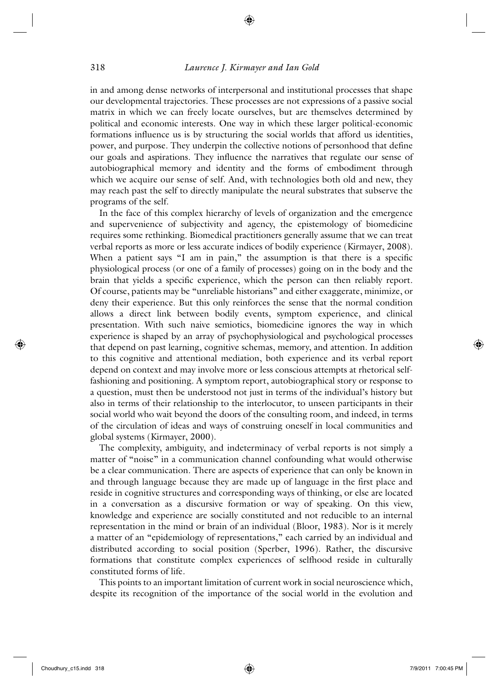in and among dense networks of interpersonal and institutional processes that shape our developmental trajectories. These processes are not expressions of a passive social matrix in which we can freely locate ourselves, but are themselves determined by political and economic interests. One way in which these larger political-economic formations influence us is by structuring the social worlds that afford us identities, power, and purpose. They underpin the collective notions of personhood that define our goals and aspirations. They influence the narratives that regulate our sense of autobiographical memory and identity and the forms of embodiment through which we acquire our sense of self. And, with technologies both old and new, they may reach past the self to directly manipulate the neural substrates that subserve the programs of the self.

In the face of this complex hierarchy of levels of organization and the emergence and supervenience of subjectivity and agency, the epistemology of biomedicine requires some rethinking. Biomedical practitioners generally assume that we can treat verbal reports as more or less accurate indices of bodily experience (Kirmayer, 2008). When a patient says "I am in pain," the assumption is that there is a specific physiological process (or one of a family of processes) going on in the body and the brain that yields a specific experience, which the person can then reliably report. Of course, patients may be "unreliable historians" and either exaggerate, minimize, or deny their experience. But this only reinforces the sense that the normal condition allows a direct link between bodily events, symptom experience, and clinical presentation. With such naive semiotics, biomedicine ignores the way in which experience is shaped by an array of psychophysiological and psychological processes that depend on past learning, cognitive schemas, memory, and attention. In addition to this cognitive and attentional mediation, both experience and its verbal report depend on context and may involve more or less conscious attempts at rhetorical selffashioning and positioning. A symptom report, autobiographical story or response to a question, must then be understood not just in terms of the individual's history but also in terms of their relationship to the interlocutor, to unseen participants in their social world who wait beyond the doors of the consulting room, and indeed, in terms of the circulation of ideas and ways of construing oneself in local communities and global systems (Kirmayer, 2000).

The complexity, ambiguity, and indeterminacy of verbal reports is not simply a matter of "noise" in a communication channel confounding what would otherwise be a clear communication. There are aspects of experience that can only be known in and through language because they are made up of language in the first place and reside in cognitive structures and corresponding ways of thinking, or else are located in a conversation as a discursive formation or way of speaking. On this view, knowledge and experience are socially constituted and not reducible to an internal representation in the mind or brain of an individual (Bloor, 1983). Nor is it merely a matter of an "epidemiology of representations," each carried by an individual and distributed according to social position (Sperber, 1996). Rather, the discursive formations that constitute complex experiences of selfhood reside in culturally constituted forms of life.

This points to an important limitation of current work in social neuroscience which, despite its recognition of the importance of the social world in the evolution and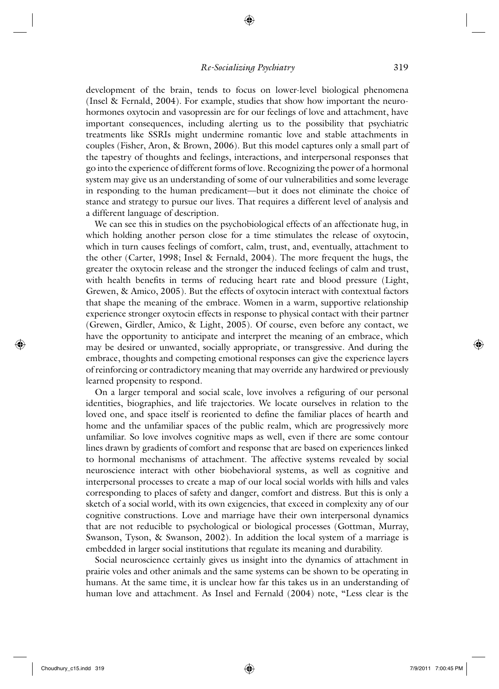⊕

development of the brain, tends to focus on lower-level biological phenomena (Insel & Fernald, 2004). For example, studies that show how important the neurohormones oxytocin and vasopressin are for our feelings of love and attachment, have important consequences, including alerting us to the possibility that psychiatric treatments like SSRIs might undermine romantic love and stable attachments in couples (Fisher, Aron, & Brown, 2006). But this model captures only a small part of the tapestry of thoughts and feelings, interactions, and interpersonal responses that go into the experience of different forms of love. Recognizing the power of a hormonal system may give us an understanding of some of our vulnerabilities and some leverage in responding to the human predicament—but it does not eliminate the choice of stance and strategy to pursue our lives. That requires a different level of analysis and a different language of description.

We can see this in studies on the psychobiological effects of an affectionate hug, in which holding another person close for a time stimulates the release of oxytocin, which in turn causes feelings of comfort, calm, trust, and, eventually, attachment to the other (Carter, 1998; Insel & Fernald, 2004). The more frequent the hugs, the greater the oxytocin release and the stronger the induced feelings of calm and trust, with health benefits in terms of reducing heart rate and blood pressure (Light, Grewen, & Amico, 2005). But the effects of oxytocin interact with contextual factors that shape the meaning of the embrace. Women in a warm, supportive relationship experience stronger oxytocin effects in response to physical contact with their partner (Grewen, Girdler, Amico, & Light, 2005). Of course, even before any contact, we have the opportunity to anticipate and interpret the meaning of an embrace, which may be desired or unwanted, socially appropriate, or transgressive. And during the embrace, thoughts and competing emotional responses can give the experience layers of reinforcing or contradictory meaning that may override any hardwired or previously learned propensity to respond.

On a larger temporal and social scale, love involves a refiguring of our personal identities, biographies, and life trajectories. We locate ourselves in relation to the loved one, and space itself is reoriented to define the familiar places of hearth and home and the unfamiliar spaces of the public realm, which are progressively more unfamiliar. So love involves cognitive maps as well, even if there are some contour lines drawn by gradients of comfort and response that are based on experiences linked to hormonal mechanisms of attachment. The affective systems revealed by social neuroscience interact with other biobehavioral systems, as well as cognitive and interpersonal processes to create a map of our local social worlds with hills and vales corresponding to places of safety and danger, comfort and distress. But this is only a sketch of a social world, with its own exigencies, that exceed in complexity any of our cognitive constructions. Love and marriage have their own interpersonal dynamics that are not reducible to psychological or biological processes (Gottman, Murray, Swanson, Tyson, & Swanson, 2002). In addition the local system of a marriage is embedded in larger social institutions that regulate its meaning and durability.

Social neuroscience certainly gives us insight into the dynamics of attachment in prairie voles and other animals and the same systems can be shown to be operating in humans. At the same time, it is unclear how far this takes us in an understanding of human love and attachment. As Insel and Fernald (2004) note, "Less clear is the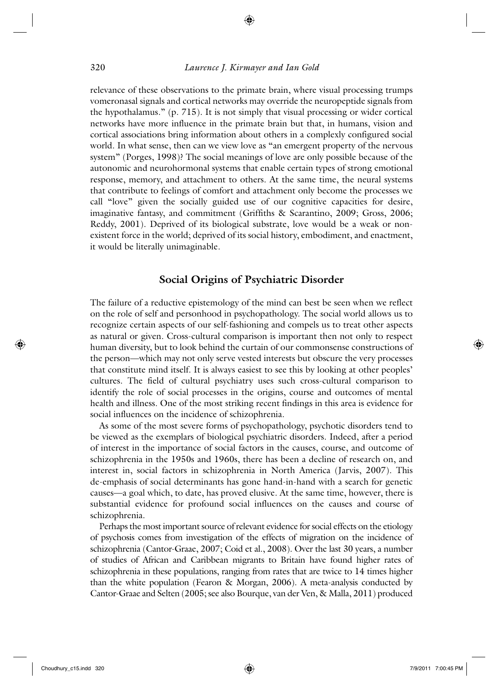# 320 *Laurence J. Kirmayer and Ian Gold*

⊕

relevance of these observations to the primate brain, where visual processing trumps vomeronasal signals and cortical networks may override the neuropeptide signals from the hypothalamus." (p. 715). It is not simply that visual processing or wider cortical networks have more influence in the primate brain but that, in humans, vision and cortical associations bring information about others in a complexly configured social world. In what sense, then can we view love as "an emergent property of the nervous system" (Porges, 1998)? The social meanings of love are only possible because of the autonomic and neurohormonal systems that enable certain types of strong emotional response, memory, and attachment to others. At the same time, the neural systems that contribute to feelings of comfort and attachment only become the processes we call "love" given the socially guided use of our cognitive capacities for desire, imaginative fantasy, and commitment (Griffiths & Scarantino, 2009; Gross, 2006; Reddy, 2001). Deprived of its biological substrate, love would be a weak or nonexistent force in the world; deprived of its social history, embodiment, and enactment, it would be literally unimaginable.

# **Social Origins of Psychiatric Disorder**

The failure of a reductive epistemology of the mind can best be seen when we reflect on the role of self and personhood in psychopathology. The social world allows us to recognize certain aspects of our self-fashioning and compels us to treat other aspects as natural or given. Cross-cultural comparison is important then not only to respect human diversity, but to look behind the curtain of our commonsense constructions of the person—which may not only serve vested interests but obscure the very processes that constitute mind itself. It is always easiest to see this by looking at other peoples' cultures. The field of cultural psychiatry uses such cross-cultural comparison to identify the role of social processes in the origins, course and outcomes of mental health and illness. One of the most striking recent findings in this area is evidence for social influences on the incidence of schizophrenia.

As some of the most severe forms of psychopathology, psychotic disorders tend to be viewed as the exemplars of biological psychiatric disorders. Indeed, after a period of interest in the importance of social factors in the causes, course, and outcome of schizophrenia in the 1950s and 1960s, there has been a decline of research on, and interest in, social factors in schizophrenia in North America (Jarvis, 2007). This de-emphasis of social determinants has gone hand-in-hand with a search for genetic causes—a goal which, to date, has proved elusive. At the same time, however, there is substantial evidence for profound social influences on the causes and course of schizophrenia.

Perhaps the most important source of relevant evidence for social effects on the etiology of psychosis comes from investigation of the effects of migration on the incidence of schizophrenia (Cantor-Graae, 2007; Coid et al., 2008). Over the last 30 years, a number of studies of African and Caribbean migrants to Britain have found higher rates of schizophrenia in these populations, ranging from rates that are twice to 14 times higher than the white population (Fearon & Morgan, 2006). A meta-analysis conducted by Cantor-Graae and Selten (2005; see also Bourque, van der Ven, & Malla, 2011) produced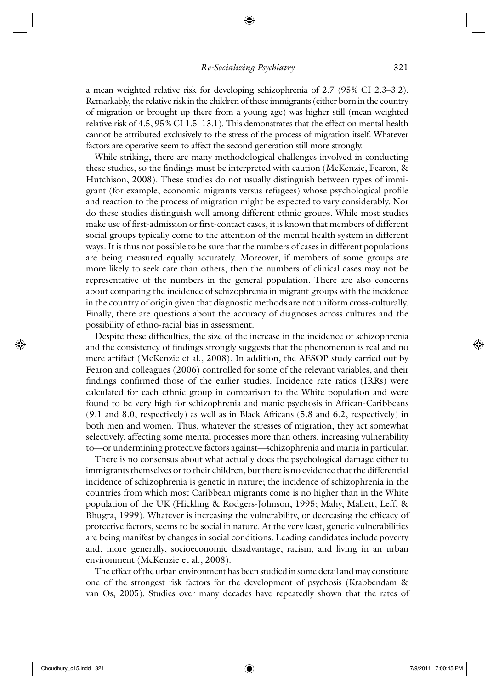a mean weighted relative risk for developing schizophrenia of 2.7 (95 % CI 2.3–3.2). Remarkably, the relative risk in the children of these immigrants (either born in the country of migration or brought up there from a young age) was higher still (mean weighted relative risk of 4.5, 95 % CI 1.5–13.1). This demonstrates that the effect on mental health cannot be attributed exclusively to the stress of the process of migration itself. Whatever factors are operative seem to affect the second generation still more strongly.

While striking, there are many methodological challenges involved in conducting these studies, so the findings must be interpreted with caution (McKenzie, Fearon, & Hutchison, 2008). These studies do not usually distinguish between types of immigrant (for example, economic migrants versus refugees) whose psychological profile and reaction to the process of migration might be expected to vary considerably. Nor do these studies distinguish well among different ethnic groups. While most studies make use of first-admission or first-contact cases, it is known that members of different social groups typically come to the attention of the mental health system in different ways. It is thus not possible to be sure that the numbers of cases in different populations are being measured equally accurately. Moreover, if members of some groups are more likely to seek care than others, then the numbers of clinical cases may not be representative of the numbers in the general population. There are also concerns about comparing the incidence of schizophrenia in migrant groups with the incidence in the country of origin given that diagnostic methods are not uniform cross-culturally. Finally, there are questions about the accuracy of diagnoses across cultures and the possibility of ethno-racial bias in assessment.

Despite these difficulties, the size of the increase in the incidence of schizophrenia and the consistency of findings strongly suggests that the phenomenon is real and no mere artifact (McKenzie et al., 2008). In addition, the AESOP study carried out by Fearon and colleagues (2006) controlled for some of the relevant variables, and their findings confirmed those of the earlier studies. Incidence rate ratios (IRRs) were calculated for each ethnic group in comparison to the White population and were found to be very high for schizophrenia and manic psychosis in African-Caribbeans (9.1 and 8.0, respectively) as well as in Black Africans (5.8 and 6.2, respectively) in both men and women. Thus, whatever the stresses of migration, they act somewhat selectively, affecting some mental processes more than others, increasing vulnerability to—or undermining protective factors against—schizophrenia and mania in particular.

There is no consensus about what actually does the psychological damage either to immigrants themselves or to their children, but there is no evidence that the differential incidence of schizophrenia is genetic in nature; the incidence of schizophrenia in the countries from which most Caribbean migrants come is no higher than in the White population of the UK (Hickling & Rodgers-Johnson, 1995; Mahy, Mallett, Leff, & Bhugra, 1999). Whatever is increasing the vulnerability, or decreasing the efficacy of protective factors, seems to be social in nature. At the very least, genetic vulnerabilities are being manifest by changes in social conditions. Leading candidates include poverty and, more generally, socioeconomic disadvantage, racism, and living in an urban environment (McKenzie et al., 2008).

The effect of the urban environment has been studied in some detail and may constitute one of the strongest risk factors for the development of psychosis (Krabbendam & van Os, 2005). Studies over many decades have repeatedly shown that the rates of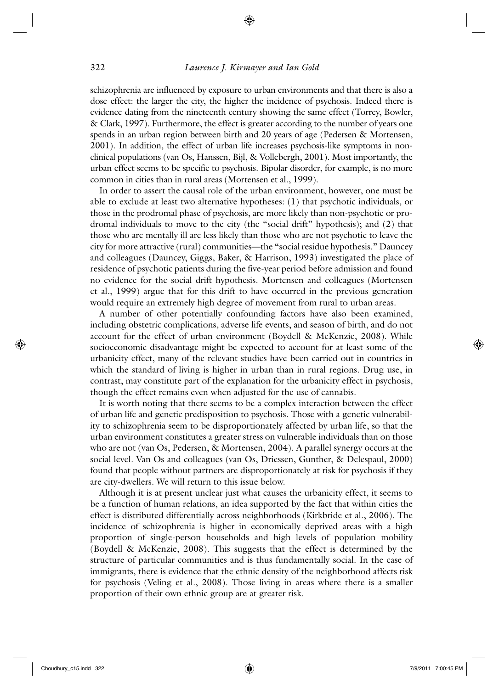schizophrenia are influenced by exposure to urban environments and that there is also a dose effect: the larger the city, the higher the incidence of psychosis. Indeed there is evidence dating from the nineteenth century showing the same effect (Torrey, Bowler, & Clark, 1997). Furthermore, the effect is greater according to the number of years one spends in an urban region between birth and 20 years of age (Pedersen & Mortensen, 2001). In addition, the effect of urban life increases psychosis-like symptoms in nonclinical populations (van Os, Hanssen, Bijl, & Vollebergh, 2001). Most importantly, the urban effect seems to be specific to psychosis. Bipolar disorder, for example, is no more common in cities than in rural areas (Mortensen et al., 1999).

In order to assert the causal role of the urban environment, however, one must be able to exclude at least two alternative hypotheses: (1) that psychotic individuals, or those in the prodromal phase of psychosis, are more likely than non-psychotic or prodromal individuals to move to the city (the "social drift" hypothesis); and (2) that those who are mentally ill are less likely than those who are not psychotic to leave the city for more attractive (rural) communities—the "social residue hypothesis." Dauncey and colleagues (Dauncey, Giggs, Baker, & Harrison, 1993) investigated the place of residence of psychotic patients during the five-year period before admission and found no evidence for the social drift hypothesis. Mortensen and colleagues (Mortensen et al., 1999) argue that for this drift to have occurred in the previous generation would require an extremely high degree of movement from rural to urban areas.

A number of other potentially confounding factors have also been examined, including obstetric complications, adverse life events, and season of birth, and do not account for the effect of urban environment (Boydell & McKenzie, 2008). While socioeconomic disadvantage might be expected to account for at least some of the urbanicity effect, many of the relevant studies have been carried out in countries in which the standard of living is higher in urban than in rural regions. Drug use, in contrast, may constitute part of the explanation for the urbanicity effect in psychosis, though the effect remains even when adjusted for the use of cannabis.

It is worth noting that there seems to be a complex interaction between the effect of urban life and genetic predisposition to psychosis. Those with a genetic vulnerability to schizophrenia seem to be disproportionately affected by urban life, so that the urban environment constitutes a greater stress on vulnerable individuals than on those who are not (van Os, Pedersen, & Mortensen, 2004). A parallel synergy occurs at the social level. Van Os and colleagues (van Os, Driessen, Gunther, & Delespaul, 2000) found that people without partners are disproportionately at risk for psychosis if they are city-dwellers. We will return to this issue below.

Although it is at present unclear just what causes the urbanicity effect, it seems to be a function of human relations, an idea supported by the fact that within cities the effect is distributed differentially across neighborhoods (Kirkbride et al., 2006). The incidence of schizophrenia is higher in economically deprived areas with a high proportion of single-person households and high levels of population mobility (Boydell & McKenzie, 2008). This suggests that the effect is determined by the structure of particular communities and is thus fundamentally social. In the case of immigrants, there is evidence that the ethnic density of the neighborhood affects risk for psychosis (Veling et al., 2008). Those living in areas where there is a smaller proportion of their own ethnic group are at greater risk.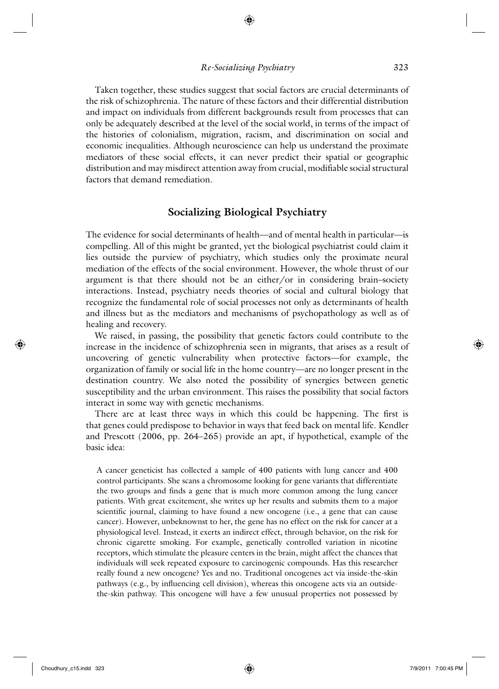⊕

Taken together, these studies suggest that social factors are crucial determinants of the risk of schizophrenia. The nature of these factors and their differential distribution and impact on individuals from different backgrounds result from processes that can only be adequately described at the level of the social world, in terms of the impact of the histories of colonialism, migration, racism, and discrimination on social and economic inequalities. Although neuroscience can help us understand the proximate mediators of these social effects, it can never predict their spatial or geographic distribution and may misdirect attention away from crucial, modifiable social structural factors that demand remediation.

# **Socializing Biological Psychiatry**

The evidence for social determinants of health—and of mental health in particular—is compelling. All of this might be granted, yet the biological psychiatrist could claim it lies outside the purview of psychiatry, which studies only the proximate neural mediation of the effects of the social environment. However, the whole thrust of our argument is that there should not be an either/or in considering brain–society interactions. Instead, psychiatry needs theories of social and cultural biology that recognize the fundamental role of social processes not only as determinants of health and illness but as the mediators and mechanisms of psychopathology as well as of healing and recovery.

We raised, in passing, the possibility that genetic factors could contribute to the increase in the incidence of schizophrenia seen in migrants, that arises as a result of uncovering of genetic vulnerability when protective factors—for example, the organization of family or social life in the home country—are no longer present in the destination country. We also noted the possibility of synergies between genetic susceptibility and the urban environment. This raises the possibility that social factors interact in some way with genetic mechanisms.

There are at least three ways in which this could be happening. The first is that genes could predispose to behavior in ways that feed back on mental life. Kendler and Prescott (2006, pp. 264–265) provide an apt, if hypothetical, example of the basic idea:

A cancer geneticist has collected a sample of 400 patients with lung cancer and 400 control participants. She scans a chromosome looking for gene variants that differentiate the two groups and finds a gene that is much more common among the lung cancer patients. With great excitement, she writes up her results and submits them to a major scientific journal, claiming to have found a new oncogene (i.e., a gene that can cause cancer). However, unbeknownst to her, the gene has no effect on the risk for cancer at a physiological level. Instead, it exerts an indirect effect, through behavior, on the risk for chronic cigarette smoking. For example, genetically controlled variation in nicotine receptors, which stimulate the pleasure centers in the brain, might affect the chances that individuals will seek repeated exposure to carcinogenic compounds. Has this researcher really found a new oncogene? Yes and no. Traditional oncogenes act via inside-the-skin pathways (e.g., by influencing cell division), whereas this oncogene acts via an outsidethe-skin pathway. This oncogene will have a few unusual properties not possessed by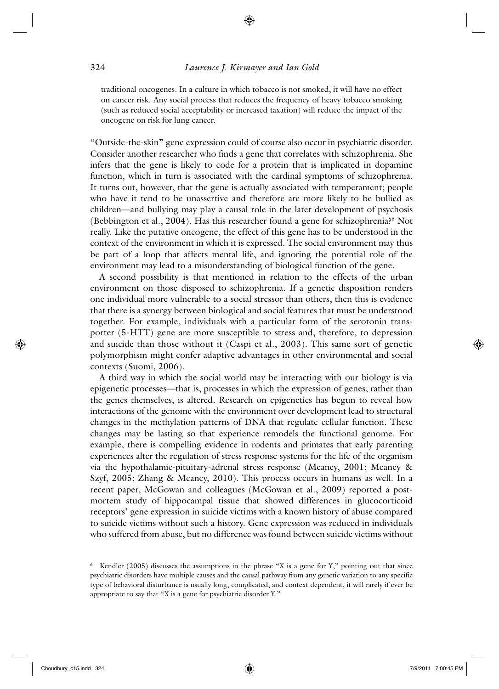traditional oncogenes. In a culture in which tobacco is not smoked, it will have no effect on cancer risk. Any social process that reduces the frequency of heavy tobacco smoking (such as reduced social acceptability or increased taxation) will reduce the impact of the oncogene on risk for lung cancer.

"Outside-the-skin" gene expression could of course also occur in psychiatric disorder. Consider another researcher who finds a gene that correlates with schizophrenia. She infers that the gene is likely to code for a protein that is implicated in dopamine function, which in turn is associated with the cardinal symptoms of schizophrenia. It turns out, however, that the gene is actually associated with temperament; people who have it tend to be unassertive and therefore are more likely to be bullied as children—and bullying may play a causal role in the later development of psychosis (Bebbington et al., 2004). Has this researcher found a gene for schizophrenia?<sup>6</sup> Not really. Like the putative oncogene, the effect of this gene has to be understood in the context of the environment in which it is expressed. The social environment may thus be part of a loop that affects mental life, and ignoring the potential role of the environment may lead to a misunderstanding of biological function of the gene.

A second possibility is that mentioned in relation to the effects of the urban environment on those disposed to schizophrenia. If a genetic disposition renders one individual more vulnerable to a social stressor than others, then this is evidence that there is a synergy between biological and social features that must be understood together. For example, individuals with a particular form of the serotonin transporter (5-HTT) gene are more susceptible to stress and, therefore, to depression and suicide than those without it (Caspi et al., 2003). This same sort of genetic polymorphism might confer adaptive advantages in other environmental and social contexts (Suomi, 2006).

A third way in which the social world may be interacting with our biology is via epigenetic processes—that is, processes in which the expression of genes, rather than the genes themselves, is altered. Research on epigenetics has begun to reveal how interactions of the genome with the environment over development lead to structural changes in the methylation patterns of DNA that regulate cellular function. These changes may be lasting so that experience remodels the functional genome. For example, there is compelling evidence in rodents and primates that early parenting experiences alter the regulation of stress response systems for the life of the organism via the hypothalamic-pituitary-adrenal stress response (Meaney, 2001; Meaney & Szyf, 2005; Zhang & Meaney, 2010). This process occurs in humans as well. In a recent paper, McGowan and colleagues (McGowan et al., 2009) reported a postmortem study of hippocampal tissue that showed differences in glucocorticoid receptors' gene expression in suicide victims with a known history of abuse compared to suicide victims without such a history. Gene expression was reduced in individuals who suffered from abuse, but no difference was found between suicide victims without

<sup>6</sup> Kendler (2005) discusses the assumptions in the phrase "X is a gene for Y," pointing out that since psychiatric disorders have multiple causes and the causal pathway from any genetic variation to any specific type of behavioral disturbance is usually long, complicated, and context dependent, it will rarely if ever be appropriate to say that "X is a gene for psychiatric disorder Y."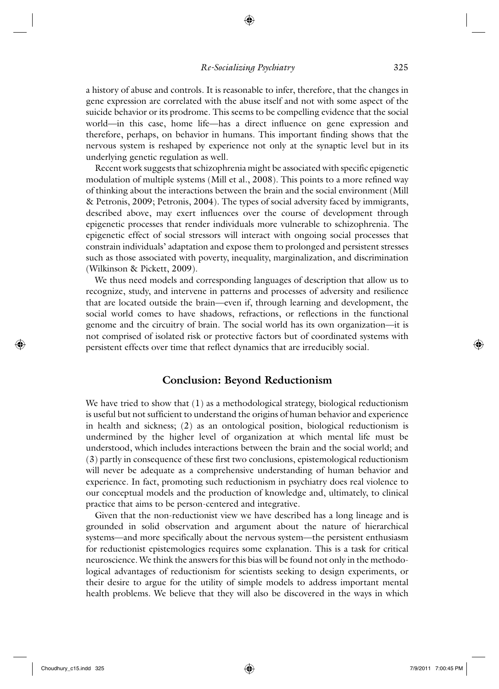⊕

a history of abuse and controls. It is reasonable to infer, therefore, that the changes in gene expression are correlated with the abuse itself and not with some aspect of the suicide behavior or its prodrome. This seems to be compelling evidence that the social world—in this case, home life—has a direct influence on gene expression and therefore, perhaps, on behavior in humans. This important finding shows that the nervous system is reshaped by experience not only at the synaptic level but in its underlying genetic regulation as well.

Recent work suggests that schizophrenia might be associated with specific epigenetic modulation of multiple systems (Mill et al., 2008). This points to a more refined way of thinking about the interactions between the brain and the social environment (Mill & Petronis, 2009; Petronis, 2004). The types of social adversity faced by immigrants, described above, may exert influences over the course of development through epigenetic processes that render individuals more vulnerable to schizophrenia. The epigenetic effect of social stressors will interact with ongoing social processes that constrain individuals' adaptation and expose them to prolonged and persistent stresses such as those associated with poverty, inequality, marginalization, and discrimination (Wilkinson & Pickett, 2009).

We thus need models and corresponding languages of description that allow us to recognize, study, and intervene in patterns and processes of adversity and resilience that are located outside the brain—even if, through learning and development, the social world comes to have shadows, refractions, or reflections in the functional genome and the circuitry of brain. The social world has its own organization—it is not comprised of isolated risk or protective factors but of coordinated systems with persistent effects over time that reflect dynamics that are irreducibly social.

#### **Conclusion: Beyond Reductionism**

We have tried to show that  $(1)$  as a methodological strategy, biological reductionism is useful but not sufficient to understand the origins of human behavior and experience in health and sickness; (2) as an ontological position, biological reductionism is undermined by the higher level of organization at which mental life must be understood, which includes interactions between the brain and the social world; and (3) partly in consequence of these first two conclusions, epistemological reductionism will never be adequate as a comprehensive understanding of human behavior and experience. In fact, promoting such reductionism in psychiatry does real violence to our conceptual models and the production of knowledge and, ultimately, to clinical practice that aims to be person-centered and integrative.

Given that the non-reductionist view we have described has a long lineage and is grounded in solid observation and argument about the nature of hierarchical systems—and more specifically about the nervous system—the persistent enthusiasm for reductionist epistemologies requires some explanation. This is a task for critical neuroscience. We think the answers for this bias will be found not only in the methodological advantages of reductionism for scientists seeking to design experiments, or their desire to argue for the utility of simple models to address important mental health problems. We believe that they will also be discovered in the ways in which

⊕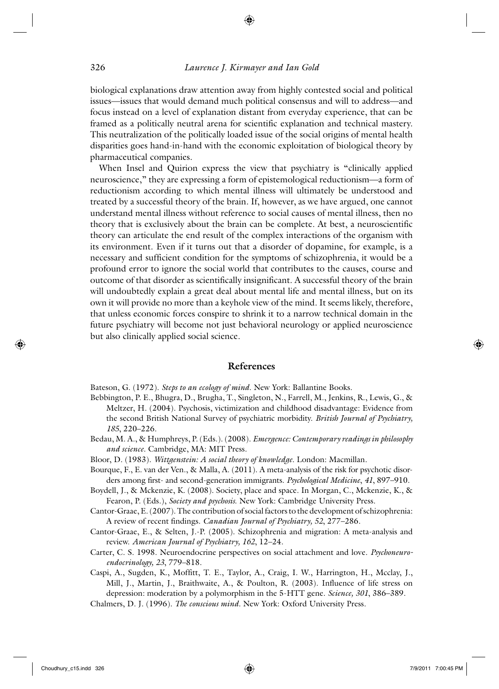biological explanations draw attention away from highly contested social and political issues—issues that would demand much political consensus and will to address—and focus instead on a level of explanation distant from everyday experience, that can be framed as a politically neutral arena for scientific explanation and technical mastery. This neutralization of the politically loaded issue of the social origins of mental health disparities goes hand-in-hand with the economic exploitation of biological theory by pharmaceutical companies.

When Insel and Quirion express the view that psychiatry is "clinically applied neuroscience," they are expressing a form of epistemological reductionism—a form of reductionism according to which mental illness will ultimately be understood and treated by a successful theory of the brain. If, however, as we have argued, one cannot understand mental illness without reference to social causes of mental illness, then no theory that is exclusively about the brain can be complete. At best, a neuroscientific theory can articulate the end result of the complex interactions of the organism with its environment. Even if it turns out that a disorder of dopamine, for example, is a necessary and sufficient condition for the symptoms of schizophrenia, it would be a profound error to ignore the social world that contributes to the causes, course and outcome of that disorder as scientifically insignificant. A successful theory of the brain will undoubtedly explain a great deal about mental life and mental illness, but on its own it will provide no more than a keyhole view of the mind. It seems likely, therefore, that unless economic forces conspire to shrink it to a narrow technical domain in the future psychiatry will become not just behavioral neurology or applied neuroscience but also clinically applied social science.

#### **References**

Bateson, G. (1972). *Steps to an ecology of mind*. New York: Ballantine Books.

- Bebbington, P. E., Bhugra, D., Brugha, T., Singleton, N., Farrell, M., Jenkins, R., Lewis, G., & Meltzer, H. (2004). Psychosis, victimization and childhood disadvantage: Evidence from the second British National Survey of psychiatric morbidity. *British Journal of Psychiatry, 185*, 220–226.
- Bedau, M. A., & Humphreys, P. (Eds.). (2008). *Emergence: Contemporary readings in philosophy and science*. Cambridge, MA: MIT Press.
- Bloor, D. (1983). *Wittgenstein: A social theory of knowledge*. London: Macmillan.
- Bourque, F., E. van der Ven., & Malla, A. (2011). A meta-analysis of the risk for psychotic disorders among first- and second-generation immigrants. *Psychological Medicine*, *41*, 897–910.
- Boydell, J., & Mckenzie, K. (2008). Society, place and space. In Morgan, C., Mckenzie, K., & Fearon, P. (Eds.), *Society and psychosis*. New York: Cambridge University Press.
- Cantor-Graae, E. (2007). The contribution of social factors to the development of schizophrenia: A review of recent findings. *Canadian Journal of Psychiatry, 52*, 277–286.
- Cantor-Graae, E., & Selten, J.-P. (2005). Schizophrenia and migration: A meta-analysis and review. *American Journal of Psychiatry, 162*, 12–24.
- Carter, C. S. 1998. Neuroendocrine perspectives on social attachment and love. *Psychoneuroendocrinology, 23*, 779–818.
- Caspi, A., Sugden, K., Moffitt, T. E., Taylor, A., Craig, I. W., Harrington, H., Mcclay, J., Mill, J., Martin, J., Braithwaite, A., & Poulton, R. (2003). Influence of life stress on depression: moderation by a polymorphism in the 5-HTT gene. *Science, 301*, 386–389.
- Chalmers, D. J. (1996). *The conscious mind*. New York: Oxford University Press.

⊕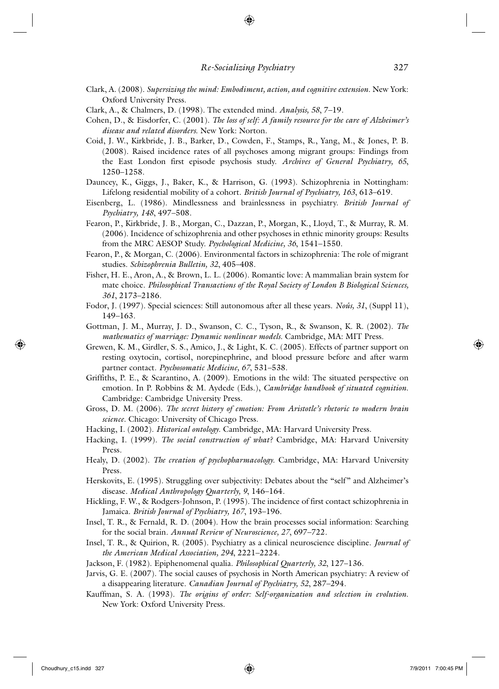- Clark, A. (2008). *Supersizing the mind: Embodiment, action, and cognitive extension*. New York: Oxford University Press.
- Clark, A., & Chalmers, D. (1998). The extended mind. *Analysis, 58*, 7–19.
- Cohen, D., & Eisdorfer, C. (2001). *The loss of self: A family resource for the care of Alzheimer's disease and related disorders*. New York: Norton.
- Coid, J. W., Kirkbride, J. B., Barker, D., Cowden, F., Stamps, R., Yang, M., & Jones, P. B. (2008). Raised incidence rates of all psychoses among migrant groups: Findings from the East London first episode psychosis study. *Archives of General Psychiatry, 65*, 1250–1258.
- Dauncey, K., Giggs, J., Baker, K., & Harrison, G. (1993). Schizophrenia in Nottingham: Lifelong residential mobility of a cohort. *British Journal of Psychiatry, 163*, 613–619.
- Eisenberg, L. (1986). Mindlessness and brainlessness in psychiatry. *British Journal of Psychiatry, 148*, 497–508.
- Fearon, P., Kirkbride, J. B., Morgan, C., Dazzan, P., Morgan, K., Lloyd, T., & Murray, R. M. (2006). Incidence of schizophrenia and other psychoses in ethnic minority groups: Results from the MRC AESOP Study. *Psychological Medicine, 36*, 1541–1550.
- Fearon, P., & Morgan, C. (2006). Environmental factors in schizophrenia: The role of migrant studies. *Schizophrenia Bulletin, 32*, 405–408.
- Fisher, H. E., Aron, A., & Brown, L. L. (2006). Romantic love: A mammalian brain system for mate choice. *Philosophical Transactions of the Royal Society of London B Biological Sciences, 361*, 2173–2186.
- Fodor, J. (1997). Special sciences: Still autonomous after all these years. *Noûs, 31*, (Suppl 11), 149–163.
- Gottman, J. M., Murray, J. D., Swanson, C. C., Tyson, R., & Swanson, K. R. (2002). *The mathematics of marriage: Dynamic nonlinear models*. Cambridge, MA: MIT Press.
- Grewen, K. M., Girdler, S. S., Amico, J., & Light, K. C. (2005). Effects of partner support on resting oxytocin, cortisol, norepinephrine, and blood pressure before and after warm partner contact. *Psychosomatic Medicine, 67*, 531–538.
- Griffiths, P. E., & Scarantino, A. (2009). Emotions in the wild: The situated perspective on emotion. In P. Robbins & M. Aydede (Eds.), *Cambridge handbook of situated cognition*. Cambridge: Cambridge University Press.
- Gross, D. M. (2006). *The secret history of emotion: From Aristotle's rhetoric to modern brain science*. Chicago: University of Chicago Press.
- Hacking, I. (2002). *Historical ontology*. Cambridge, MA: Harvard University Press.
- Hacking, I. (1999). *The social construction of what?* Cambridge, MA: Harvard University Press.
- Healy, D. (2002). *The creation of psychopharmacology*. Cambridge, MA: Harvard University Press.
- Herskovits, E. (1995). Struggling over subjectivity: Debates about the "self" and Alzheimer's disease. *Medical Anthropology Quarterly, 9*, 146–164.
- Hickling, F. W., & Rodgers-Johnson, P. (1995). The incidence of first contact schizophrenia in Jamaica. *British Journal of Psychiatry, 167*, 193–196.
- Insel, T. R., & Fernald, R. D. (2004). How the brain processes social information: Searching for the social brain. *Annual Review of Neuroscience, 27*, 697–722.
- Insel, T. R., & Quirion, R. (2005). Psychiatry as a clinical neuroscience discipline. *Journal of the American Medical Association, 294*, 2221–2224.
- Jackson, F. (1982). Epiphenomenal qualia. *Philosophical Quarterly, 32*, 127–136.
- Jarvis, G. E. (2007). The social causes of psychosis in North American psychiatry: A review of a disappearing literature. *Canadian Journal of Psychiatry, 52*, 287–294.
- Kauffman, S. A. (1993). *The origins of order: Self-organization and selection in evolution*. New York: Oxford University Press.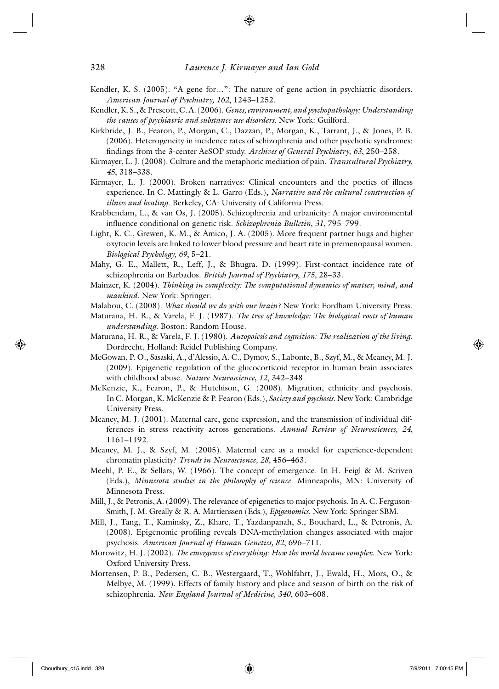- Kendler, K. S. (2005). "A gene for…": The nature of gene action in psychiatric disorders. *American Journal of Psychiatry, 162*, 1243–1252.
- Kendler, K. S., & Prescott, C. A. (2006). *Genes, environment, and psychopathology: Understanding the causes of psychiatric and substance use disorders*. New York: Guilford.
- Kirkbride, J. B., Fearon, P., Morgan, C., Dazzan, P., Morgan, K., Tarrant, J., & Jones, P. B. (2006). Heterogeneity in incidence rates of schizophrenia and other psychotic syndromes: findings from the 3-center AeSOP study. *Archives of General Psychiatry, 63*, 250–258.
- Kirmayer, L. J. (2008). Culture and the metaphoric mediation of pain. *Transcultural Psychiatry, 45*, 318–338.
- Kirmayer, L. J. (2000). Broken narratives: Clinical encounters and the poetics of illness experience. In C. Mattingly & L. Garro (Eds.), *Narrative and the cultural construction of illness and healing*. Berkeley, CA: University of California Press.
- Krabbendam, L., & van Os, J. (2005). Schizophrenia and urbanicity: A major environmental influence conditional on genetic risk. *Schizophrenia Bulletin, 31*, 795–799.
- Light, K. C., Grewen, K. M., & Amico, J. A. (2005). More frequent partner hugs and higher oxytocin levels are linked to lower blood pressure and heart rate in premenopausal women. *Biological Psychology, 69*, 5–21.
- Mahy, G. E., Mallett, R., Leff, J., & Bhugra, D. (1999). First-contact incidence rate of s chizophrenia on Barbados. *British Journal of Psychiatry, 175*, 28–33.
- Mainzer, K. (2004). *Thinking in complexity: The computational dynamics of matter, mind, and mankind*. New York: Springer.
- Malabou, C. (2008). *What should we do with our brain?* New York: Fordham University Press.
- Maturana, H. R., & Varela, F. J. (1987). *The tree of knowledge: The biological roots of human understanding*. Boston: Random House.
- Maturana, H. R., & Varela, F. J. (1980). *Autopoiesis and cognition: The realization of the living*. Dordrecht, Holland: Reidel Publishing Company.
- McGowan, P. O., Sasaski, A., d'Alessio, A. C., Dymov, S., Labonte, B., Szyf, M., & Meaney, M. J. (2009). Epigenetic regulation of the glucocorticoid receptor in human brain associates with childhood abuse. *Nature Neuroscience, 12*, 342–348.
- McKenzie, K., Fearon, P., & Hutchison, G. (2008). Migration, ethnicity and psychosis. In C. Morgan, K. McKenzie & P. Fearon (Eds.), *Society and psychosis*. New York: Cambridge University Press.
- Meaney, M. J. (2001). Maternal care, gene expression, and the transmission of individual differences in stress reactivity across generations. *Annual Review of Neurosciences, 24*, 1161–1192.
- Meaney, M. J., & Szyf, M. (2005). Maternal care as a model for experience-dependent chromatin plasticity? *Trends in Neuroscience, 28*, 456–463.
- Meehl, P. E., & Sellars, W. (1966). The concept of emergence. In H. Feigl & M. Scriven (Eds.), *Minnesota studies in the philosophy of science*. Minneapolis, MN: University of Minnesota Press.
- Mill, J., & Petronis, A. (2009). The relevance of epigenetics to major psychosis. In A. C. Ferguson-Smith, J. M. Greally & R. A. Martienssen (Eds.), *Epigenomics*. New York: Springer SBM.
- Mill, J., Tang, T., Kaminsky, Z., Khare, T., Yazdanpanah, S., Bouchard, L., & Petronis, A. (2008). Epigenomic profiling reveals DNA-methylation changes associated with major psychosis. *American Journal of Human Genetics, 82*, 696–711.
- Morowitz, H. J. (2002). *The emergence of everything: How the world became complex*. New York: Oxford University Press.
- Mortensen, P. B., Pedersen, C. B., Westergaard, T., Wohlfahrt, J., Ewald, H., Mors, O., & Melbye, M. (1999). Effects of family history and place and season of birth on the risk of schizophrenia. *New England Journal of Medicine, 340*, 603–608.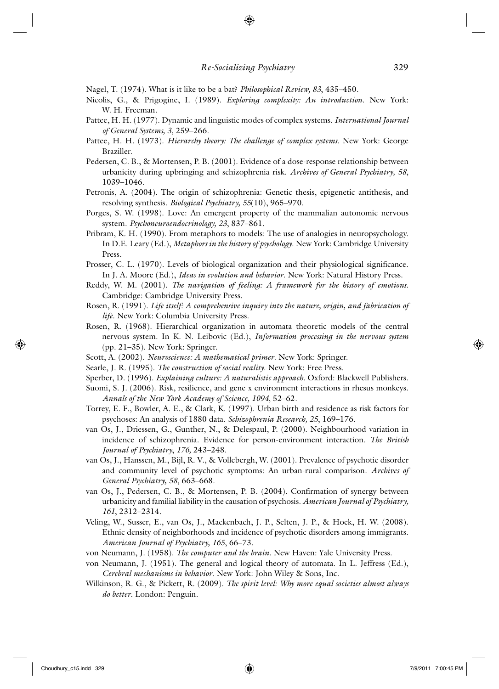⊕

Nagel, T. (1974). What is it like to be a bat? *Philosophical Review, 83*, 435–450.

- Nicolis, G., & Prigogine, I. (1989). *Exploring complexity: An introduction*. New York: W. H. Freeman.
- Pattee, H. H. (1977). Dynamic and linguistic modes of complex systems. *International Journal of General Systems, 3*, 259–266.
- Pattee, H. H. (1973). *Hierarchy theory: The challenge of complex systems*. New York: George Braziller.
- Pedersen, C. B., & Mortensen, P. B. (2001). Evidence of a dose-response relationship between urbanicity during upbringing and schizophrenia risk. *Archives of General Psychiatry, 58*, 1039–1046.
- Petronis, A. (2004). The origin of schizophrenia: Genetic thesis, epigenetic antithesis, and resolving synthesis. *Biological Psychiatry, 55*(10), 965–970.
- Porges, S. W. (1998). Love: An emergent property of the mammalian autonomic nervous system. *Psychoneuroendocrinology, 23*, 837–861.
- Pribram, K. H. (1990). From metaphors to models: The use of analogies in neuropsychology. In D.E. Leary (Ed.), *Metaphors in the history of psychology*. New York: Cambridge University Press.
- Prosser, C. L. (1970). Levels of biological organization and their physiological significance. In J. A. Moore (Ed.), *Ideas in evolution and behavior*. New York: Natural History Press.
- Reddy, W. M. (2001). *The navigation of feeling: A framework for the history of emotions*. Cambridge: Cambridge University Press.
- Rosen, R. (1991). *Life itself: A comprehensive inquiry into the nature, origin, and fabrication of life*. New York: Columbia University Press.
- Rosen, R. (1968). Hierarchical organization in automata theoretic models of the central nervous system. In K. N. Leibovic (Ed.), *Information processing in the nervous system* (pp. 21–35). New York: Springer.
- Scott, A. (2002). *Neuroscience: A mathematical primer*. New York: Springer.
- Searle, J. R. (1995). *The construction of social reality*. New York: Free Press.
- Sperber, D. (1996). *Explaining culture: A naturalistic approach*. Oxford: Blackwell Publishers.
- Suomi, S. J. (2006). Risk, resilience, and gene x environment interactions in rhesus monkeys. *Annals of the New York Academy of Science, 1094*, 52–62.
- Torrey, E. F., Bowler, A. E., & Clark, K. (1997). Urban birth and residence as risk factors for psychoses: An analysis of 1880 data. *Schizophrenia Research, 25*, 169–176.
- van Os, J., Driessen, G., Gunther, N., & Delespaul, P. (2000). Neighbourhood variation in incidence of schizophrenia. Evidence for person-environment interaction. *The British Journal of Psychiatry*, *176,* 243–248.
- van Os, J., Hanssen, M., Bijl, R. V., & Vollebergh, W. (2001). Prevalence of psychotic disorder and community level of psychotic symptoms: An urban-rural comparison. *Archives of General Psychiatry, 58*, 663–668.
- van Os, J., Pedersen, C. B., & Mortensen, P. B. (2004). Confirmation of synergy between urbanicity and familial liability in the causation of psychosis. *American Journal of Psychiatry, 161*, 2312–2314.
- Veling, W., Susser, E., van Os, J., Mackenbach, J. P., Selten, J. P., & Hoek, H. W. (2008). Ethnic density of neighborhoods and incidence of psychotic disorders among immigrants. *American Journal of Psychiatry, 165*, 66–73.
- von Neumann, J. (1958). *The computer and the brain*. New Haven: Yale University Press.
- von Neumann, J. (1951). The general and logical theory of automata. In L. Jeffress (Ed.), *Cerebral mechanisms in behavior*. New York: John Wiley & Sons, Inc.
- Wilkinson, R. G., & Pickett, R. (2009). *The spirit level: Why more equal societies almost always do better*. London: Penguin.